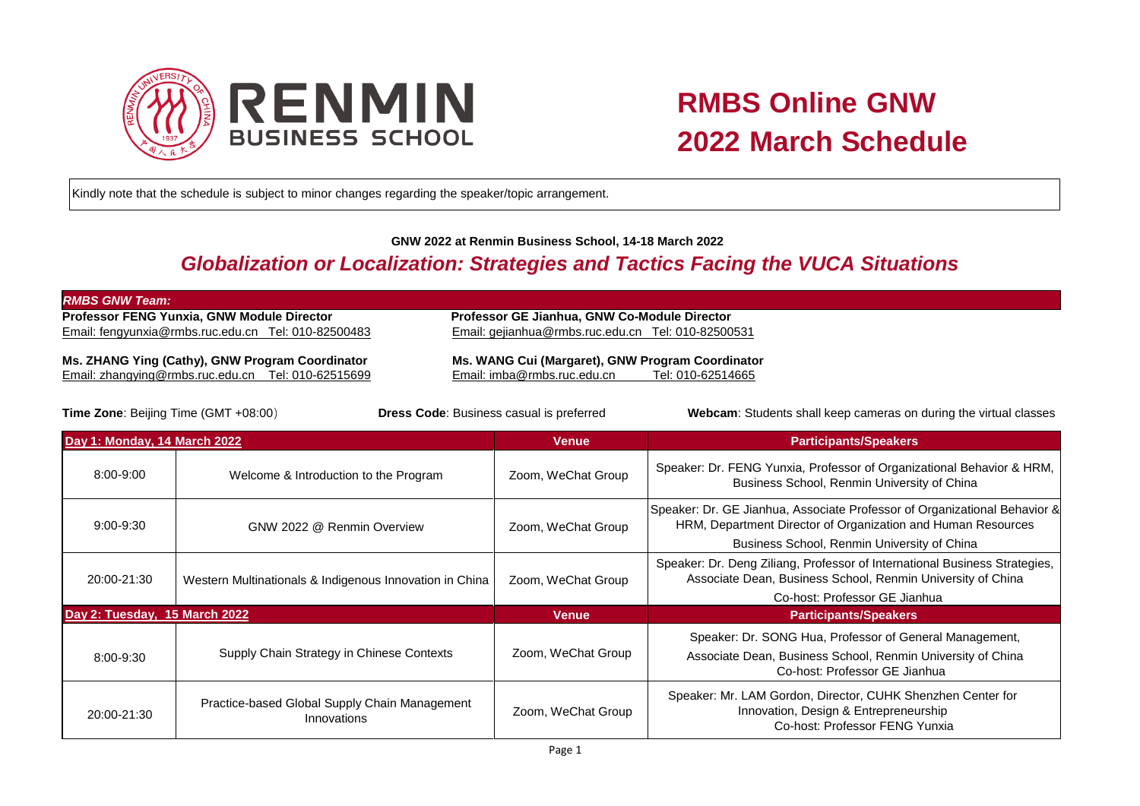

Kindly note that the schedule is subject to minor changes regarding the speaker/topic arrangement.

## **GNW 2022 at Renmin Business School, 14-18 March 2022**

## *Globalization or Localization: Strategies and Tactics Facing the VUCA Situations*

| <b>RMBS GNW Team:</b>                               |                                                     |
|-----------------------------------------------------|-----------------------------------------------------|
| <b>Professor FENG Yunxia, GNW Module Director</b>   | <b>Professor GE Jianhua, GNW Co-Module Director</b> |
| Email: fengyunxia@rmbs.ruc.edu.cn Tel: 010-82500483 | Email: gejianhua@rmbs.ruc.edu.cn Tel: 010-82500531  |
| Ms. ZHANG Ying (Cathy), GNW Program Coordinator     | Ms. WANG Cui (Margaret), GNW Program Coordinator    |

Email: [zhangying@rmbs.ruc.edu.cn](mailto:zhangying@rmbs.ruc.edu.cn) Tel: [010-](mailto:Tel:%20010)62515699 Email: [imba@rmbs.ruc.edu.cn](mailto:imba@rmbs.ruc.edu.cn) Tel: 010-62514665

**Time Zone**: Beijing Time (GMT +08:00)**Dress Code**: Business casual is preferred**Webcam**: Students shall keep cameras on during the virtual classes

| Day 1: Monday, 14 March 2022  |                                                              | Venue              | <b>Participants/Speakers</b>                                                                                                                                                             |
|-------------------------------|--------------------------------------------------------------|--------------------|------------------------------------------------------------------------------------------------------------------------------------------------------------------------------------------|
| $8:00 - 9:00$                 | Welcome & Introduction to the Program                        | Zoom, WeChat Group | Speaker: Dr. FENG Yunxia, Professor of Organizational Behavior & HRM,<br>Business School, Renmin University of China                                                                     |
| $9:00 - 9:30$                 | GNW 2022 @ Renmin Overview                                   | Zoom, WeChat Group | Speaker: Dr. GE Jianhua, Associate Professor of Organizational Behavior &<br>HRM, Department Director of Organization and Human Resources<br>Business School, Renmin University of China |
| 20:00-21:30                   | Western Multinationals & Indigenous Innovation in China      | Zoom, WeChat Group | Speaker: Dr. Deng Ziliang, Professor of International Business Strategies,<br>Associate Dean, Business School, Renmin University of China<br>Co-host: Professor GE Jianhua               |
| Day 2: Tuesday, 15 March 2022 |                                                              | <b>Venue</b>       | <b>Participants/Speakers</b>                                                                                                                                                             |
| 8:00-9:30                     | Supply Chain Strategy in Chinese Contexts                    | Zoom, WeChat Group | Speaker: Dr. SONG Hua, Professor of General Management,<br>Associate Dean, Business School, Renmin University of China<br>Co-host: Professor GE Jianhua                                  |
| 20:00-21:30                   | Practice-based Global Supply Chain Management<br>Innovations | Zoom, WeChat Group | Speaker: Mr. LAM Gordon, Director, CUHK Shenzhen Center for<br>Innovation, Design & Entrepreneurship<br>Co-host: Professor FENG Yunxia                                                   |